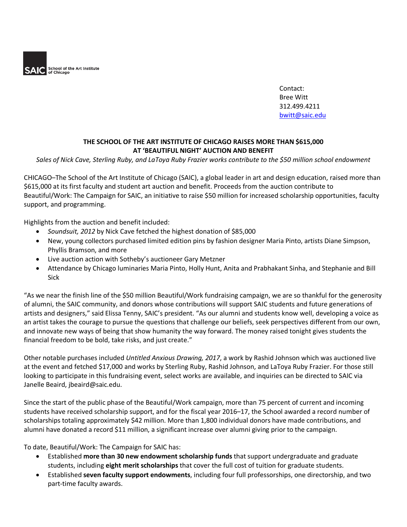

Contact: Bree Witt 312.499.4211 bwitt@saic.edu

## **THE SCHOOL OF THE ART INSTITUTE OF CHICAGO RAISES MORE THAN \$615,000 AT 'BEAUTIFUL NIGHT' AUCTION AND BENEFIT**

*Sales of Nick Cave, Sterling Ruby, and LaToya Ruby Frazier works contribute to the \$50 million school endowment*

CHICAGO–The School of the Art Institute of Chicago (SAIC), a global leader in art and design education, raised more than \$615,000 at its first faculty and student art auction and benefit. Proceeds from the auction contribute to Beautiful/Work: The Campaign for SAIC, an initiative to raise \$50 million for increased scholarship opportunities, faculty support, and programming.

Highlights from the auction and benefit included:

- *Soundsuit, 2012* by Nick Cave fetched the highest donation of \$85,000
- New, young collectors purchased limited edition pins by fashion designer Maria Pinto, artists Diane Simpson, Phyllis Bramson, and more
- Live auction action with Sotheby's auctioneer Gary Metzner
- Attendance by Chicago luminaries Maria Pinto, Holly Hunt, Anita and Prabhakant Sinha, and Stephanie and Bill Sick

"As we near the finish line of the \$50 million Beautiful/Work fundraising campaign, we are so thankful for the generosity of alumni, the SAIC community, and donors whose contributions will support SAIC students and future generations of artists and designers," said Elissa Tenny, SAIC's president. "As our alumni and students know well, developing a voice as an artist takes the courage to pursue the questions that challenge our beliefs, seek perspectives different from our own, and innovate new ways of being that show humanity the way forward. The money raised tonight gives students the financial freedom to be bold, take risks, and just create."

Other notable purchases included *Untitled Anxious Drawing, 2017*, a work by Rashid Johnson which was auctioned live at the event and fetched \$17,000 and works by Sterling Ruby, Rashid Johnson, and LaToya Ruby Frazier. For those still looking to participate in this fundraising event, select works are available, and inquiries can be directed to SAIC via Janelle Beaird, jbeaird@saic.edu.

Since the start of the public phase of the Beautiful/Work campaign, more than 75 percent of current and incoming students have received scholarship support, and for the fiscal year 2016–17, the School awarded a record number of scholarships totaling approximately \$42 million. More than 1,800 individual donors have made contributions, and alumni have donated a record \$11 million, a significant increase over alumni giving prior to the campaign.

To date, Beautiful/Work: The Campaign for SAIC has:

- Established **more than 30 new endowment scholarship funds** that support undergraduate and graduate students, including **eight merit scholarships** that cover the full cost of tuition for graduate students.
- Established **seven faculty support endowments**, including four full professorships, one directorship, and two part-time faculty awards.